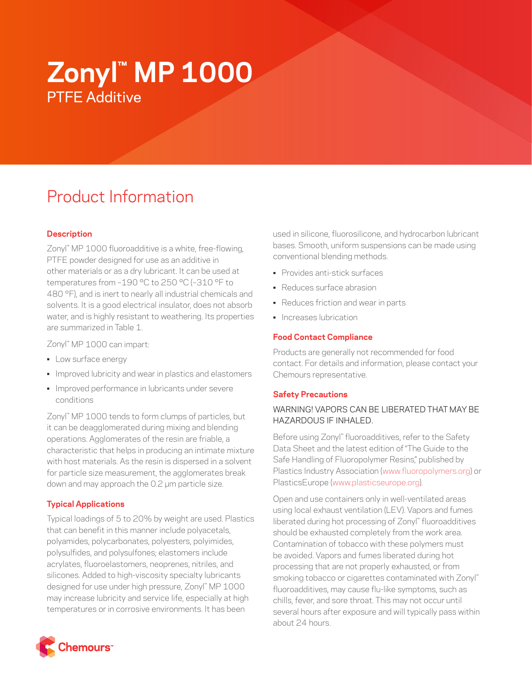# **Zonyl™ MP 1000** PTFE Additive

# Product Information

# **Description**

Zonyl™ MP 1000 fluoroadditive is a white, free-flowing, PTFE powder designed for use as an additive in other materials or as a dry lubricant. It can be used at temperatures from –190 °C to 250 °C (–310 °F to 480 °F), and is inert to nearly all industrial chemicals and solvents. It is a good electrical insulator, does not absorb water, and is highly resistant to weathering. Its properties are summarized in Table 1.

Zonyl™ MP 1000 can impart:

- Low surface energy
- Improved lubricity and wear in plastics and elastomers
- Improved performance in lubricants under severe conditions

Zonyl™ MP 1000 tends to form clumps of particles, but it can be deagglomerated during mixing and blending operations. Agglomerates of the resin are friable, a characteristic that helps in producing an intimate mixture with host materials. As the resin is dispersed in a solvent for particle size measurement, the agglomerates break down and may approach the 0.2 μm particle size.

# **Typical Applications**

Typical loadings of 5 to 20% by weight are used. Plastics that can benefit in this manner include polyacetals, polyamides, polycarbonates, polyesters, polyimides, polysulfides, and polysulfones; elastomers include acrylates, fluoroelastomers, neoprenes, nitriles, and silicones. Added to high-viscosity specialty lubricants designed for use under high pressure, Zonyl™ MP 1000 may increase lubricity and service life, especially at high temperatures or in corrosive environments. It has been



used in silicone, fluorosilicone, and hydrocarbon lubricant bases. Smooth, uniform suspensions can be made using conventional blending methods.

- Provides anti-stick surfaces
- Reduces surface abrasion
- Reduces friction and wear in parts
- Increases lubrication

#### **Food Contact Compliance**

Products are generally not recommended for food contact. For details and information, please contact your Chemours representative.

#### **Safety Precautions**

# WARNING! VAPORS CAN BE LIBERATED THAT MAY BE HAZARDOUS IF INHALED.

Before using Zonyl™ fluoroadditives, refer to the Safety Data Sheet and the latest edition of "The Guide to the Safe Handling of Fluoropolymer Resins," published by Plastics Industry Association [\(www.fluoropolymers.org](http://www.fluoropolymers.org)) or PlasticsEurope ([www.plasticseurope.org](http://www.plasticseurope.org)).

Open and use containers only in well-ventilated areas using local exhaust ventilation (LEV). Vapors and fumes liberated during hot processing of Zonyl™ fluoroadditives should be exhausted completely from the work area. Contamination of tobacco with these polymers must be avoided. Vapors and fumes liberated during hot processing that are not properly exhausted, or from smoking tobacco or cigarettes contaminated with Zonyl™ fluoroadditives, may cause flu-like symptoms, such as chills, fever, and sore throat. This may not occur until several hours after exposure and will typically pass within about 24 hours.